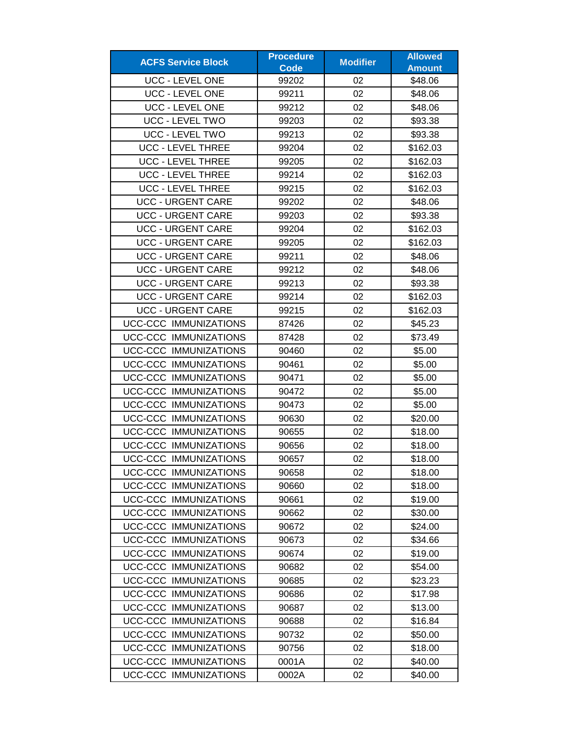| <b>ACFS Service Block</b>    | <b>Procedure</b> | <b>Modifier</b> | <b>Allowed</b> |
|------------------------------|------------------|-----------------|----------------|
|                              | <b>Code</b>      |                 | <b>Amount</b>  |
| <b>UCC - LEVEL ONE</b>       | 99202            | 02              | \$48.06        |
| <b>UCC - LEVEL ONE</b>       | 99211            | 02              | \$48.06        |
| <b>UCC - LEVEL ONE</b>       | 99212            | 02              | \$48.06        |
| UCC - LEVEL TWO              | 99203            | 02              | \$93.38        |
| <b>UCC - LEVEL TWO</b>       | 99213            | 02              | \$93.38        |
| <b>UCC - LEVEL THREE</b>     | 99204            | 02              | \$162.03       |
| <b>UCC - LEVEL THREE</b>     | 99205            | 02              | \$162.03       |
| <b>UCC - LEVEL THREE</b>     | 99214            | 02              | \$162.03       |
| <b>UCC - LEVEL THREE</b>     | 99215            | 02              | \$162.03       |
| <b>UCC - URGENT CARE</b>     | 99202            | 02              | \$48.06        |
| <b>UCC - URGENT CARE</b>     | 99203            | 02              | \$93.38        |
| <b>UCC - URGENT CARE</b>     | 99204            | 02              | \$162.03       |
| <b>UCC - URGENT CARE</b>     | 99205            | 02              | \$162.03       |
| <b>UCC - URGENT CARE</b>     | 99211            | 02              | \$48.06        |
| <b>UCC - URGENT CARE</b>     | 99212            | 02              | \$48.06        |
| <b>UCC - URGENT CARE</b>     | 99213            | 02              | \$93.38        |
| <b>UCC - URGENT CARE</b>     | 99214            | 02              | \$162.03       |
| <b>UCC - URGENT CARE</b>     | 99215            | 02              | \$162.03       |
| UCC-CCC IMMUNIZATIONS        | 87426            | 02              | \$45.23        |
| <b>UCC-CCC IMMUNIZATIONS</b> | 87428            | 02              | \$73.49        |
| UCC-CCC IMMUNIZATIONS        | 90460            | 02              | \$5.00         |
| <b>UCC-CCC IMMUNIZATIONS</b> | 90461            | 02              | \$5.00         |
| UCC-CCC IMMUNIZATIONS        | 90471            | 02              | \$5.00         |
| UCC-CCC IMMUNIZATIONS        | 90472            | 02              | \$5.00         |
| UCC-CCC IMMUNIZATIONS        | 90473            | 02              | \$5.00         |
| <b>UCC-CCC IMMUNIZATIONS</b> | 90630            | 02              | \$20.00        |
| UCC-CCC IMMUNIZATIONS        | 90655            | 02              | \$18.00        |
| <b>UCC-CCC IMMUNIZATIONS</b> | 90656            | 02              | \$18.00        |
| <b>UCC-CCC IMMUNIZATIONS</b> | 90657            | 02              | \$18.00        |
| UCC-CCC IMMUNIZATIONS        | 90658            | 02              | \$18.00        |
| UCC-CCC IMMUNIZATIONS        | 90660            | 02              | \$18.00        |
| UCC-CCC IMMUNIZATIONS        | 90661            | 02              | \$19.00        |
| UCC-CCC IMMUNIZATIONS        | 90662            | 02              | \$30.00        |
| <b>UCC-CCC IMMUNIZATIONS</b> | 90672            | 02              | \$24.00        |
| UCC-CCC IMMUNIZATIONS        | 90673            | 02              | \$34.66        |
| UCC-CCC IMMUNIZATIONS        | 90674            | 02              | \$19.00        |
| UCC-CCC IMMUNIZATIONS        | 90682            | 02              | \$54.00        |
| UCC-CCC IMMUNIZATIONS        | 90685            | 02              | \$23.23        |
| UCC-CCC IMMUNIZATIONS        | 90686            | 02              | \$17.98        |
| UCC-CCC IMMUNIZATIONS        | 90687            | 02              | \$13.00        |
| UCC-CCC IMMUNIZATIONS        | 90688            | 02              | \$16.84        |
| UCC-CCC IMMUNIZATIONS        | 90732            | 02              | \$50.00        |
| UCC-CCC IMMUNIZATIONS        | 90756            | 02              | \$18.00        |
| UCC-CCC IMMUNIZATIONS        | 0001A            | 02              | \$40.00        |
| UCC-CCC IMMUNIZATIONS        | 0002A            | 02              | \$40.00        |